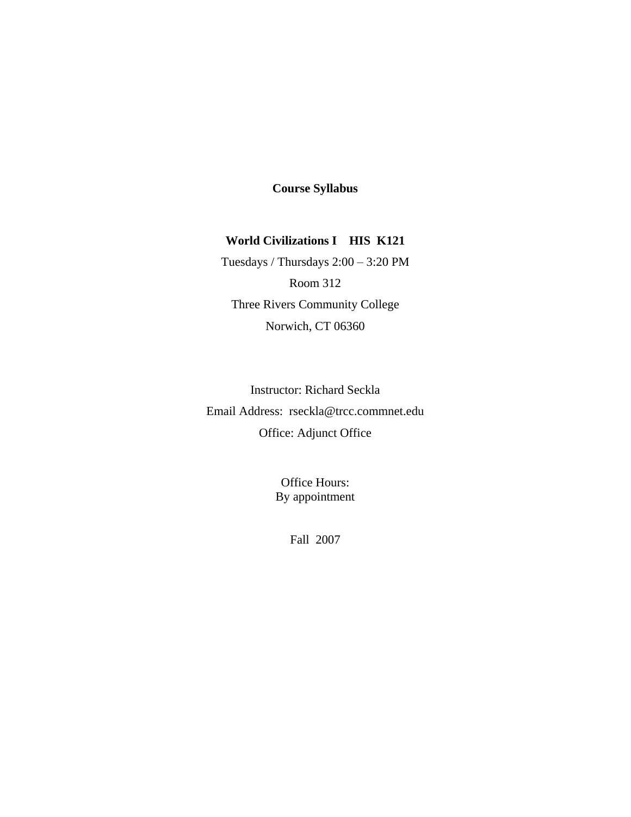## **Course Syllabus**

# **World Civilizations I HIS K121**

Tuesdays / Thursdays 2:00 – 3:20 PM Room 312 Three Rivers Community College Norwich, CT 06360

Instructor: Richard Seckla Email Address: rseckla@trcc.commnet.edu Office: Adjunct Office

> Office Hours: By appointment

> > Fall 2007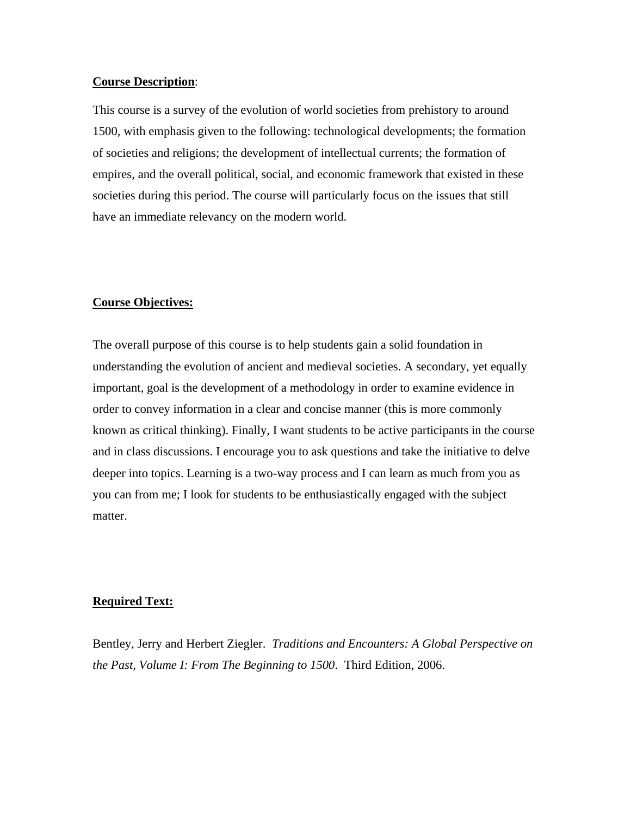#### **Course Description**:

This course is a survey of the evolution of world societies from prehistory to around 1500, with emphasis given to the following: technological developments; the formation of societies and religions; the development of intellectual currents; the formation of empires, and the overall political, social, and economic framework that existed in these societies during this period. The course will particularly focus on the issues that still have an immediate relevancy on the modern world.

#### **Course Objectives:**

The overall purpose of this course is to help students gain a solid foundation in understanding the evolution of ancient and medieval societies. A secondary, yet equally important, goal is the development of a methodology in order to examine evidence in order to convey information in a clear and concise manner (this is more commonly known as critical thinking). Finally, I want students to be active participants in the course and in class discussions. I encourage you to ask questions and take the initiative to delve deeper into topics. Learning is a two-way process and I can learn as much from you as you can from me; I look for students to be enthusiastically engaged with the subject matter.

#### **Required Text:**

Bentley, Jerry and Herbert Ziegler. *Traditions and Encounters: A Global Perspective on the Past, Volume I: From The Beginning to 1500*. Third Edition, 2006.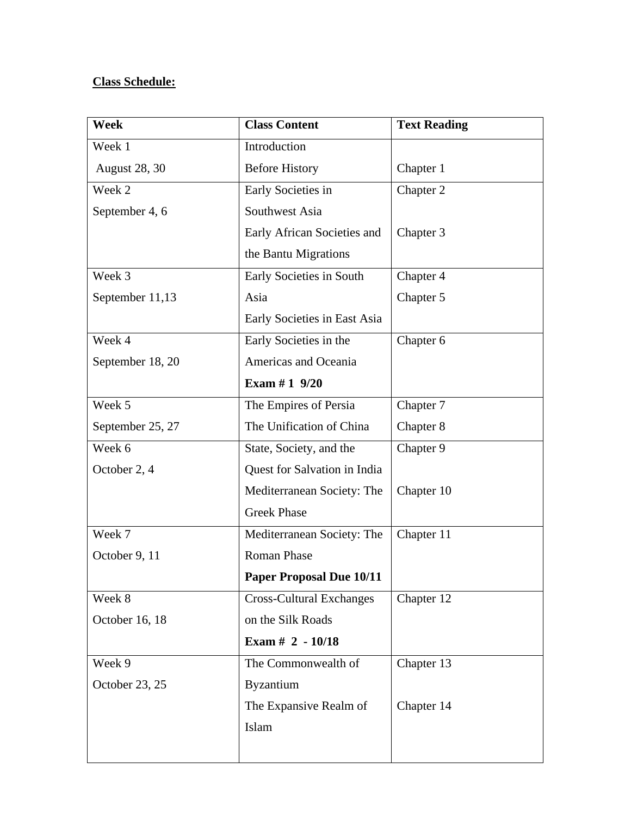# **Class Schedule:**

| Week                 | <b>Class Content</b>            | <b>Text Reading</b> |
|----------------------|---------------------------------|---------------------|
| Week 1               | Introduction                    |                     |
| <b>August 28, 30</b> | <b>Before History</b>           | Chapter 1           |
| Week 2               | Early Societies in              | Chapter 2           |
| September 4, 6       | Southwest Asia                  |                     |
|                      | Early African Societies and     | Chapter 3           |
|                      | the Bantu Migrations            |                     |
| Week 3               | Early Societies in South        | Chapter 4           |
| September 11,13      | Asia                            | Chapter 5           |
|                      | Early Societies in East Asia    |                     |
| Week 4               | Early Societies in the          | Chapter 6           |
| September 18, 20     | Americas and Oceania            |                     |
|                      | Exam #1 $9/20$                  |                     |
| Week 5               | The Empires of Persia           | Chapter 7           |
| September 25, 27     | The Unification of China        | Chapter 8           |
| Week 6               | State, Society, and the         | Chapter 9           |
| October 2, 4         | Quest for Salvation in India    |                     |
|                      | Mediterranean Society: The      | Chapter 10          |
|                      | <b>Greek Phase</b>              |                     |
| Week 7               | Mediterranean Society: The      | Chapter 11          |
| October 9, 11        | <b>Roman Phase</b>              |                     |
|                      | <b>Paper Proposal Due 10/11</b> |                     |
| Week 8               | <b>Cross-Cultural Exchanges</b> | Chapter 12          |
| October 16, 18       | on the Silk Roads               |                     |
|                      | Exam $# 2 - 10/18$              |                     |
| Week 9               | The Commonwealth of             | Chapter 13          |
| October 23, 25       | <b>Byzantium</b>                |                     |
|                      | The Expansive Realm of          | Chapter 14          |
|                      | Islam                           |                     |
|                      |                                 |                     |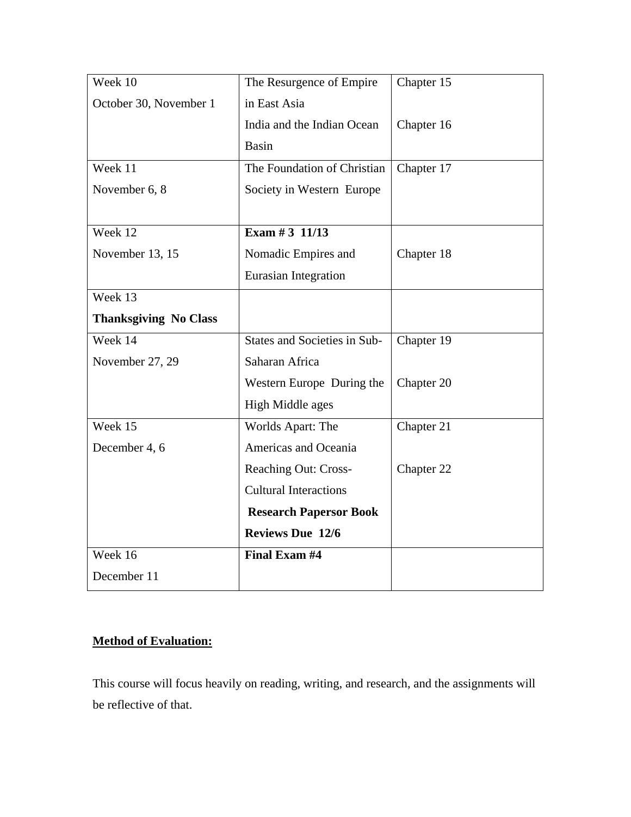| Week 10                      | The Resurgence of Empire      | Chapter 15 |
|------------------------------|-------------------------------|------------|
| October 30, November 1       | in East Asia                  |            |
|                              | India and the Indian Ocean    | Chapter 16 |
|                              | <b>Basin</b>                  |            |
| Week 11                      | The Foundation of Christian   | Chapter 17 |
| November 6, 8                | Society in Western Europe     |            |
|                              |                               |            |
| Week 12                      | Exam # 3 $11/13$              |            |
| November 13, 15              | Nomadic Empires and           | Chapter 18 |
|                              | Eurasian Integration          |            |
| Week 13                      |                               |            |
| <b>Thanksgiving No Class</b> |                               |            |
| Week 14                      | States and Societies in Sub-  | Chapter 19 |
| November 27, 29              | Saharan Africa                |            |
|                              | Western Europe During the     | Chapter 20 |
|                              | High Middle ages              |            |
| Week 15                      | Worlds Apart: The             | Chapter 21 |
| December 4, 6                | Americas and Oceania          |            |
|                              | <b>Reaching Out: Cross-</b>   | Chapter 22 |
|                              | <b>Cultural Interactions</b>  |            |
|                              | <b>Research Papersor Book</b> |            |
|                              | <b>Reviews Due 12/6</b>       |            |
| Week 16                      | Final Exam #4                 |            |
| December 11                  |                               |            |

# **Method of Evaluation:**

This course will focus heavily on reading, writing, and research, and the assignments will be reflective of that.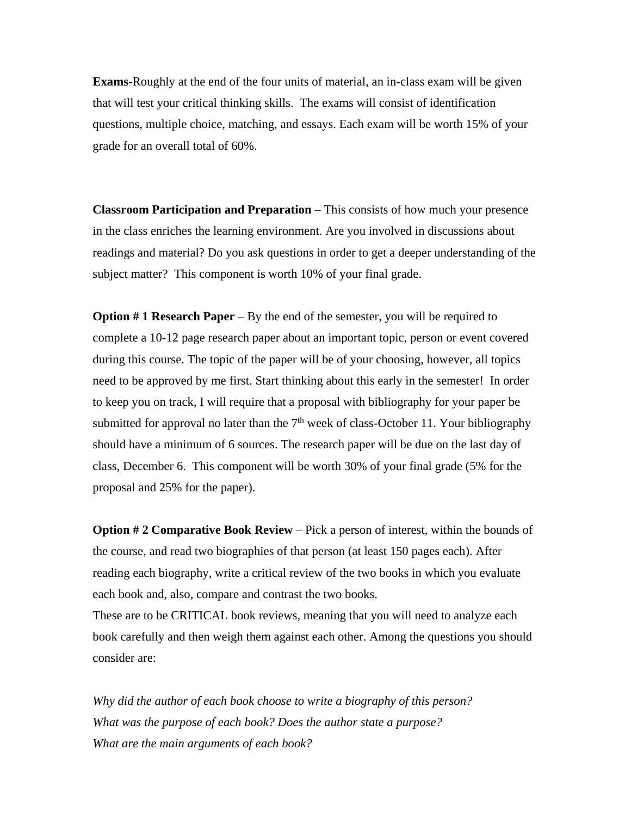**Exams**-Roughly at the end of the four units of material, an in-class exam will be given that will test your critical thinking skills. The exams will consist of identification questions, multiple choice, matching, and essays. Each exam will be worth 15% of your grade for an overall total of 60%.

**Classroom Participation and Preparation** – This consists of how much your presence in the class enriches the learning environment. Are you involved in discussions about readings and material? Do you ask questions in order to get a deeper understanding of the subject matter? This component is worth 10% of your final grade.

**Option # 1 Research Paper** – By the end of the semester, you will be required to complete a 10-12 page research paper about an important topic, person or event covered during this course. The topic of the paper will be of your choosing, however, all topics need to be approved by me first. Start thinking about this early in the semester! In order to keep you on track, I will require that a proposal with bibliography for your paper be submitted for approval no later than the  $7<sup>th</sup>$  week of class-October 11. Your bibliography should have a minimum of 6 sources. The research paper will be due on the last day of class, December 6. This component will be worth 30% of your final grade (5% for the proposal and 25% for the paper).

**Option #2 Comparative Book Review** – Pick a person of interest, within the bounds of the course, and read two biographies of that person (at least 150 pages each). After reading each biography, write a critical review of the two books in which you evaluate each book and, also, compare and contrast the two books.

These are to be CRITICAL book reviews, meaning that you will need to analyze each book carefully and then weigh them against each other. Among the questions you should consider are:

*Why did the author of each book choose to write a biography of this person? What was the purpose of each book? Does the author state a purpose? What are the main arguments of each book?*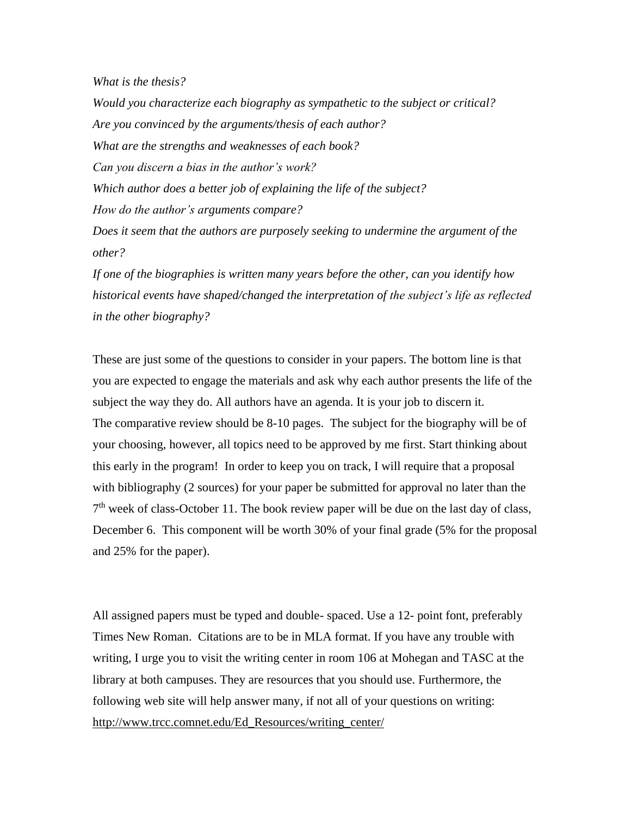*What is the thesis?*

*Would you characterize each biography as sympathetic to the subject or critical? Are you convinced by the arguments/thesis of each author? What are the strengths and weaknesses of each book? Can you discern a bias in the author's work? Which author does a better job of explaining the life of the subject? How do the author's arguments compare? Does it seem that the authors are purposely seeking to undermine the argument of the other?*

*If one of the biographies is written many years before the other, can you identify how historical events have shaped/changed the interpretation of the subject's life as reflected in the other biography?*

These are just some of the questions to consider in your papers. The bottom line is that you are expected to engage the materials and ask why each author presents the life of the subject the way they do. All authors have an agenda. It is your job to discern it. The comparative review should be 8-10 pages. The subject for the biography will be of your choosing, however, all topics need to be approved by me first. Start thinking about this early in the program! In order to keep you on track, I will require that a proposal with bibliography (2 sources) for your paper be submitted for approval no later than the  $7<sup>th</sup>$  week of class-October 11. The book review paper will be due on the last day of class, December 6. This component will be worth 30% of your final grade (5% for the proposal and 25% for the paper).

All assigned papers must be typed and double- spaced. Use a 12- point font, preferably Times New Roman. Citations are to be in MLA format. If you have any trouble with writing, I urge you to visit the writing center in room 106 at Mohegan and TASC at the library at both campuses. They are resources that you should use. Furthermore, the following web site will help answer many, if not all of your questions on writing: [http://www.trcc.comnet.edu/Ed\\_Resources/writing\\_center/](http://www.trcc.comnet.edu/Ed_Resources/writing_center/)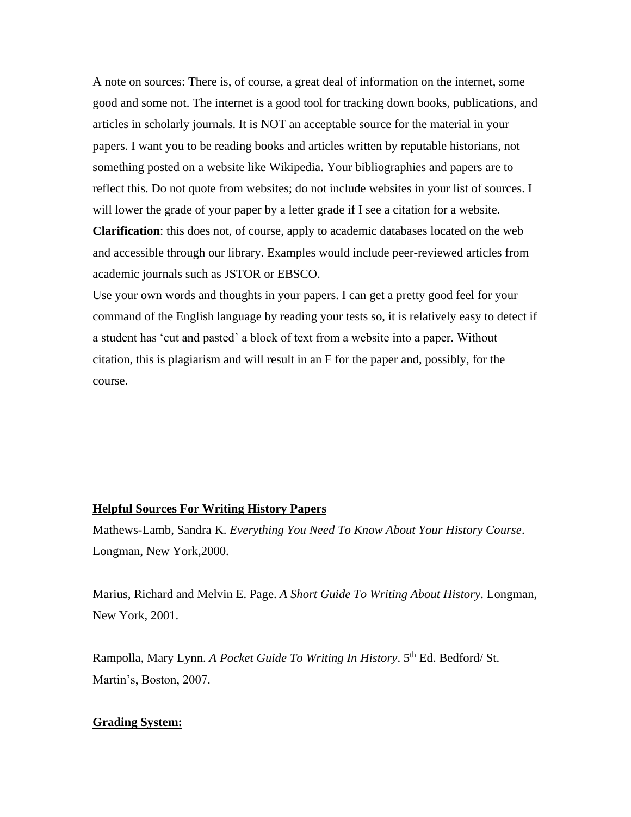A note on sources: There is, of course, a great deal of information on the internet, some good and some not. The internet is a good tool for tracking down books, publications, and articles in scholarly journals. It is NOT an acceptable source for the material in your papers. I want you to be reading books and articles written by reputable historians, not something posted on a website like Wikipedia. Your bibliographies and papers are to reflect this. Do not quote from websites; do not include websites in your list of sources. I will lower the grade of your paper by a letter grade if I see a citation for a website.

**Clarification**: this does not, of course, apply to academic databases located on the web and accessible through our library. Examples would include peer-reviewed articles from academic journals such as JSTOR or EBSCO.

Use your own words and thoughts in your papers. I can get a pretty good feel for your command of the English language by reading your tests so, it is relatively easy to detect if a student has 'cut and pasted' a block of text from a website into a paper. Without citation, this is plagiarism and will result in an F for the paper and, possibly, for the course.

#### **Helpful Sources For Writing History Papers**

Mathews-Lamb, Sandra K. *Everything You Need To Know About Your History Course*. Longman, New York,2000.

Marius, Richard and Melvin E. Page. *A Short Guide To Writing About History*. Longman, New York, 2001.

Rampolla, Mary Lynn. *A Pocket Guide To Writing In History*. 5th Ed. Bedford/ St. Martin's, Boston, 2007.

#### **Grading System:**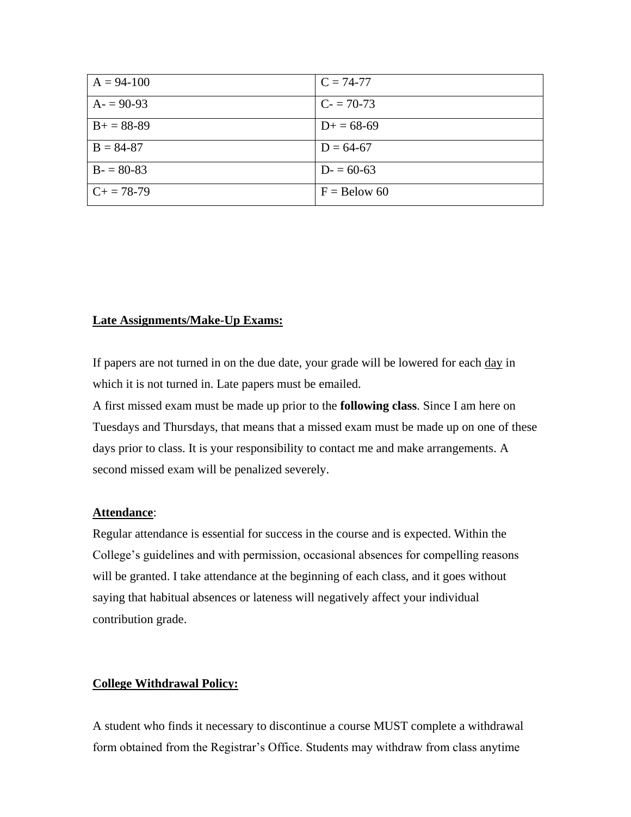| $A = 94-100$    | $C = 74-77$    |
|-----------------|----------------|
| $A = 90-93$     | $C = 70-73$    |
| $B+=88-89$      | $D+=68-69$     |
| $B = 84-87$     | $D = 64-67$    |
| $B - 80-83$     | $D = 60-63$    |
| $C_{+} = 78-79$ | $F =$ Below 60 |

### **Late Assignments/Make-Up Exams:**

If papers are not turned in on the due date, your grade will be lowered for each day in which it is not turned in. Late papers must be emailed.

A first missed exam must be made up prior to the **following class**. Since I am here on Tuesdays and Thursdays, that means that a missed exam must be made up on one of these days prior to class. It is your responsibility to contact me and make arrangements. A second missed exam will be penalized severely.

#### **Attendance**:

Regular attendance is essential for success in the course and is expected. Within the College's guidelines and with permission, occasional absences for compelling reasons will be granted. I take attendance at the beginning of each class, and it goes without saying that habitual absences or lateness will negatively affect your individual contribution grade.

### **College Withdrawal Policy:**

A student who finds it necessary to discontinue a course MUST complete a withdrawal form obtained from the Registrar's Office. Students may withdraw from class anytime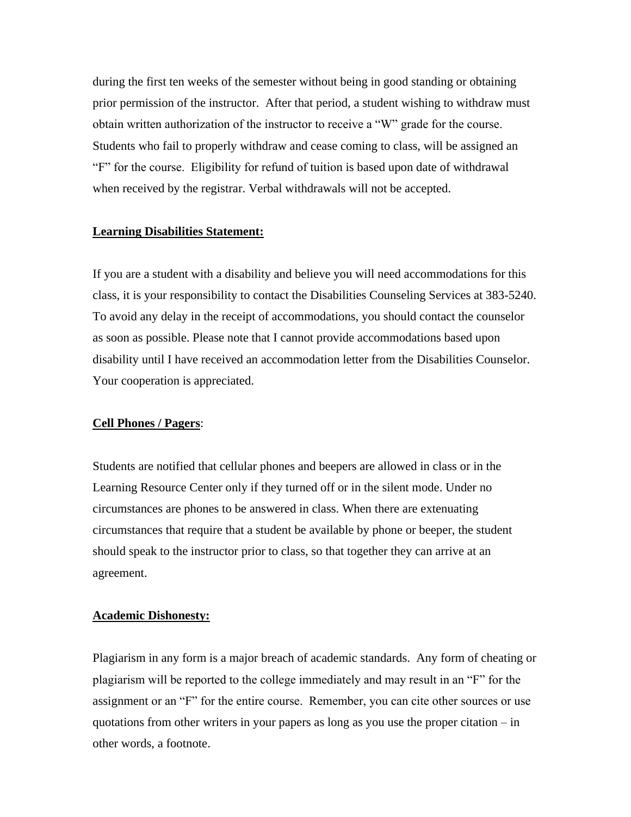during the first ten weeks of the semester without being in good standing or obtaining prior permission of the instructor. After that period, a student wishing to withdraw must obtain written authorization of the instructor to receive a "W" grade for the course. Students who fail to properly withdraw and cease coming to class, will be assigned an "F" for the course. Eligibility for refund of tuition is based upon date of withdrawal when received by the registrar. Verbal withdrawals will not be accepted.

#### **Learning Disabilities Statement:**

If you are a student with a disability and believe you will need accommodations for this class, it is your responsibility to contact the Disabilities Counseling Services at 383-5240. To avoid any delay in the receipt of accommodations, you should contact the counselor as soon as possible. Please note that I cannot provide accommodations based upon disability until I have received an accommodation letter from the Disabilities Counselor. Your cooperation is appreciated.

#### **Cell Phones / Pagers**:

Students are notified that cellular phones and beepers are allowed in class or in the Learning Resource Center only if they turned off or in the silent mode. Under no circumstances are phones to be answered in class. When there are extenuating circumstances that require that a student be available by phone or beeper, the student should speak to the instructor prior to class, so that together they can arrive at an agreement.

#### **Academic Dishonesty:**

Plagiarism in any form is a major breach of academic standards. Any form of cheating or plagiarism will be reported to the college immediately and may result in an "F" for the assignment or an "F" for the entire course. Remember, you can cite other sources or use quotations from other writers in your papers as long as you use the proper citation – in other words, a footnote.